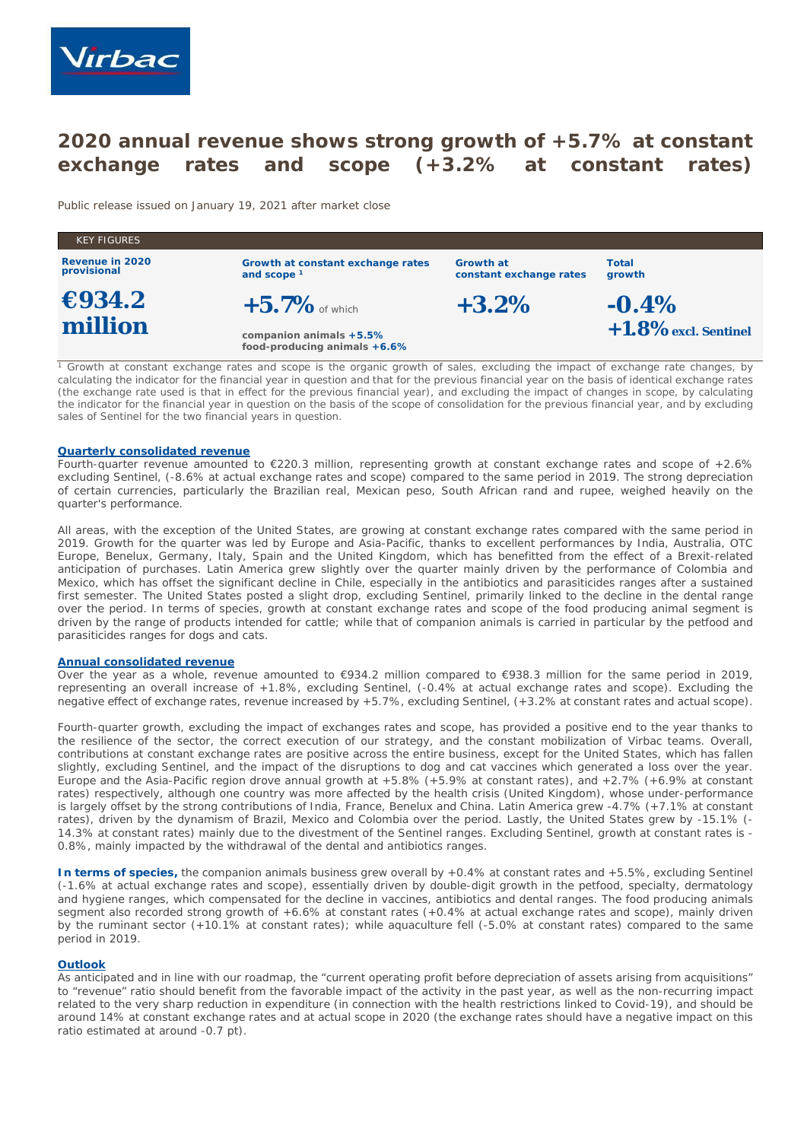

# **2020 annual revenue shows strong growth of +5.7% at constant exchange rates and scope (+3.2% at constant rates)**

*Public release issued on January 19*, *2021 after market close*

| <b>KEY FIGURES</b>             |                                                         |                                      |                 |
|--------------------------------|---------------------------------------------------------|--------------------------------------|-----------------|
| Revenue in 2020<br>provisional | Growth at constant exchange rates<br>and scope $1$      | Growth at<br>constant exchange rates | Total<br>growth |
| $\epsilon$ 934.2               | $+5.7\%$ of which                                       | $+3.2\%$                             | $-0.4\%$        |
| million                        | companion animals +5.5%<br>food-producing animals +6.6% | $+1.8\%$ excl. Sentinel              |                 |

*<sup>1</sup> Growth at constant exchange rates and scope is the organic growth of sales, excluding the impact of exchange rate changes, by calculating the indicator for the financial year in question and that for the previous financial year on the basis of identical exchange rates (the exchange rate used is that in effect for the previous financial year), and excluding the impact of changes in scope, by calculating the indicator for the financial year in question on the basis of the scope of consolidation for the previous financial year, and by excluding sales of Sentinel for the two financial years in question.*

#### **Quarterly consolidated revenue**

Fourth-quarter revenue amounted to €220.3 million, representing growth at constant exchange rates and scope of +2.6% excluding Sentinel, (-8.6% at actual exchange rates and scope) compared to the same period in 2019. The strong depreciation of certain currencies, particularly the Brazilian real, Mexican peso, South African rand and rupee, weighed heavily on the quarter's performance.

All areas, with the exception of the United States, are growing at constant exchange rates compared with the same period in 2019. Growth for the quarter was led by Europe and Asia-Pacific, thanks to excellent performances by India, Australia, OTC Europe, Benelux, Germany, Italy, Spain and the United Kingdom, which has benefitted from the effect of a Brexit-related anticipation of purchases. Latin America grew slightly over the quarter mainly driven by the performance of Colombia and Mexico, which has offset the significant decline in Chile, especially in the antibiotics and parasiticides ranges after a sustained first semester. The United States posted a slight drop, excluding Sentinel, primarily linked to the decline in the dental range over the period. In terms of species, growth at constant exchange rates and scope of the food producing animal segment is driven by the range of products intended for cattle; while that of companion animals is carried in particular by the petfood and parasiticides ranges for dogs and cats.

## **Annual consolidated revenue**

Over the year as a whole, revenue amounted to €934.2 million compared to €938.3 million for the same period in 2019, representing an overall increase of +1.8%, excluding Sentinel, (-0.4% at actual exchange rates and scope). Excluding the negative effect of exchange rates, revenue increased by +5.7%, excluding Sentinel, (+3.2% at constant rates and actual scope).

Fourth-quarter growth, excluding the impact of exchanges rates and scope, has provided a positive end to the year thanks to the resilience of the sector, the correct execution of our strategy, and the constant mobilization of Virbac teams. Overall, contributions at constant exchange rates are positive across the entire business, except for the United States, which has fallen slightly, excluding Sentinel, and the impact of the disruptions to dog and cat vaccines which generated a loss over the year. Europe and the Asia-Pacific region drove annual growth at +5.8% (+5.9% at constant rates), and +2.7% (+6.9% at constant rates) respectively, although one country was more affected by the health crisis (United Kingdom), whose under-performance is largely offset by the strong contributions of India, France, Benelux and China. Latin America grew -4.7% (+7.1% at constant rates), driven by the dynamism of Brazil, Mexico and Colombia over the period. Lastly, the United States grew by -15.1% (- 14.3% at constant rates) mainly due to the divestment of the Sentinel ranges. Excluding Sentinel, growth at constant rates is - 0.8%, mainly impacted by the withdrawal of the dental and antibiotics ranges.

**In terms of species,** the companion animals business grew overall by +0.4% at constant rates and +5.5%, excluding Sentinel (-1.6% at actual exchange rates and scope), essentially driven by double-digit growth in the petfood, specialty, dermatology and hygiene ranges, which compensated for the decline in vaccines, antibiotics and dental ranges. The food producing animals segment also recorded strong growth of +6.6% at constant rates (+0.4% at actual exchange rates and scope), mainly driven by the ruminant sector (+10.1% at constant rates); while aquaculture fell (-5.0% at constant rates) compared to the same period in 2019.

#### **Outlook**

As anticipated and in line with our roadmap, the "current operating profit before depreciation of assets arising from acquisitions" to "revenue" ratio should benefit from the favorable impact of the activity in the past year, as well as the non-recurring impact related to the very sharp reduction in expenditure (in connection with the health restrictions linked to Covid-19), and should be around 14% at constant exchange rates and at actual scope in 2020 (the exchange rates should have a negative impact on this ratio estimated at around -0.7 pt).